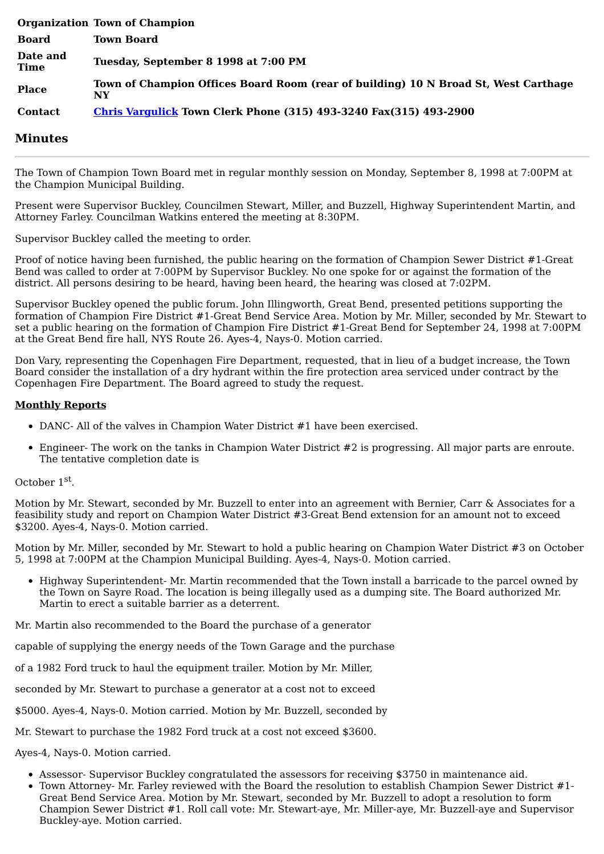|                  | <b>Organization Town of Champion</b>                                                      |
|------------------|-------------------------------------------------------------------------------------------|
| Board            | <b>Town Board</b>                                                                         |
| Date and<br>Time | Tuesday, September 8 1998 at 7:00 PM                                                      |
| <b>Place</b>     | Town of Champion Offices Board Room (rear of building) 10 N Broad St, West Carthage<br>NY |
| <b>Contact</b>   | <b>Chris Vargulick Town Clerk Phone (315) 493-3240 Fax(315) 493-2900</b>                  |

## **Minutes**

The Town of Champion Town Board met in regular monthly session on Monday, September 8, 1998 at 7:00PM at the Champion Municipal Building.

Present were Supervisor Buckley, Councilmen Stewart, Miller, and Buzzell, Highway Superintendent Martin, and Attorney Farley. Councilman Watkins entered the meeting at 8:30PM.

Supervisor Buckley called the meeting to order.

Proof of notice having been furnished, the public hearing on the formation of Champion Sewer District #1-Great Bend was called to order at 7:00PM by Supervisor Buckley. No one spoke for or against the formation of the district. All persons desiring to be heard, having been heard, the hearing was closed at 7:02PM.

Supervisor Buckley opened the public forum. John Illingworth, Great Bend, presented petitions supporting the formation of Champion Fire District #1-Great Bend Service Area. Motion by Mr. Miller, seconded by Mr. Stewart to set a public hearing on the formation of Champion Fire District #1-Great Bend for September 24, 1998 at 7:00PM at the Great Bend fire hall, NYS Route 26. Ayes-4, Nays-0. Motion carried.

Don Vary, representing the Copenhagen Fire Department, requested, that in lieu of a budget increase, the Town Board consider the installation of a dry hydrant within the fire protection area serviced under contract by the Copenhagen Fire Department. The Board agreed to study the request.

## **Monthly Reports**

- DANC- All of the valves in Champion Water District #1 have been exercised.
- Engineer- The work on the tanks in Champion Water District #2 is progressing. All major parts are enroute. The tentative completion date is

## October 1<sup>st</sup>.

Motion by Mr. Stewart, seconded by Mr. Buzzell to enter into an agreement with Bernier, Carr & Associates for a feasibility study and report on Champion Water District #3-Great Bend extension for an amount not to exceed \$3200. Ayes-4, Nays-0. Motion carried.

Motion by Mr. Miller, seconded by Mr. Stewart to hold a public hearing on Champion Water District #3 on October 5, 1998 at 7:00PM at the Champion Municipal Building. Ayes-4, Nays-0. Motion carried.

• Highway Superintendent- Mr. Martin recommended that the Town install a barricade to the parcel owned by the Town on Sayre Road. The location is being illegally used as a dumping site. The Board authorized Mr. Martin to erect a suitable barrier as a deterrent.

Mr. Martin also recommended to the Board the purchase of a generator

capable of supplying the energy needs of the Town Garage and the purchase

of a 1982 Ford truck to haul the equipment trailer. Motion by Mr. Miller,

seconded by Mr. Stewart to purchase a generator at a cost not to exceed

\$5000. Ayes-4, Nays-0. Motion carried. Motion by Mr. Buzzell, seconded by

Mr. Stewart to purchase the 1982 Ford truck at a cost not exceed \$3600.

Ayes-4, Nays-0. Motion carried.

- Assessor- Supervisor Buckley congratulated the assessors for receiving \$3750 in maintenance aid.
- Town Attorney- Mr. Farley reviewed with the Board the resolution to establish Champion Sewer District #1- Great Bend Service Area. Motion by Mr. Stewart, seconded by Mr. Buzzell to adopt a resolution to form Champion Sewer District #1. Roll call vote: Mr. Stewart-aye, Mr. Miller-aye, Mr. Buzzell-aye and Supervisor Buckley-aye. Motion carried.